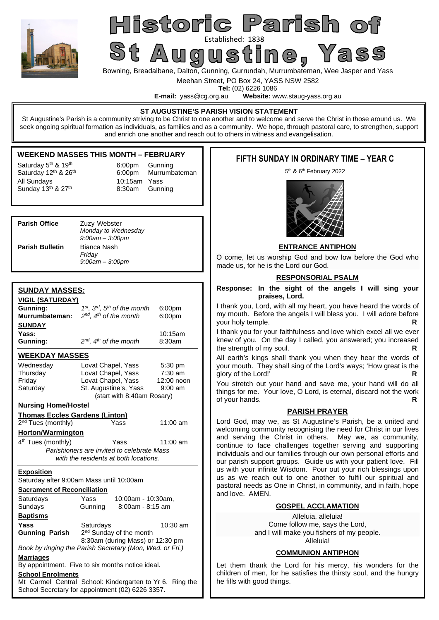

# Historic Parish o St Augustined: 1838<br>St Augustine, Yass

Bowning, Breadalbane, Dalton, Gunning, Gurrundah, Murrumbateman, Wee Jasper and Yass

Meehan Street, PO Box 24, YASS NSW 2582

**Tel:** (02) 6226 1086<br>**E-mail:** vass@cg.org.au **Website:** w Website: www.staug-yass.org.au

## **ST AUGUSTINE'S PARISH VISION STATEMENT**

St Augustine's Parish is a community striving to be Christ to one another and to welcome and serve the Christ in those around us. We seek ongoing spiritual formation as individuals, as families and as a community. We hope, through pastoral care, to strengthen, support and enrich one another and reach out to others in witness and evangelisation.

# **WEEKEND MASSES THIS MONTH – FEBRUARY**

Saturday  $5<sup>th</sup>$  & 19<sup>th</sup> 6:00pm Gunning All Sundays  $\frac{10:15$ am Yass  $\frac{10:15}{2}$  8:30am Gunn

Saturday 12<sup>th</sup> & 26<sup>th</sup> 6:00pm Murrumbateman 8:30am Gunning

| <b>Parish Office</b>   | Zuzy Webster<br>Monday to Wednesday<br>$9:00$ am $-3:00$ pm |
|------------------------|-------------------------------------------------------------|
| <b>Parish Bulletin</b> | Bianca Nash<br>Friday<br>$9:00am - 3:00pm$                  |

# **SUNDAY MASSES***:*

| <u>VIGIL (SATURDAY)</u>                                                                      |                                                 |            |  |  |  |
|----------------------------------------------------------------------------------------------|-------------------------------------------------|------------|--|--|--|
| Gunning:                                                                                     | 1st, 3rd, 5th of the month                      | 6:00pm     |  |  |  |
| Murrumbateman:                                                                               | $2^{nd}$ , $4^{th}$ of the month                | 6:00pm     |  |  |  |
| <b>SUNDAY</b>                                                                                |                                                 |            |  |  |  |
| Yass:                                                                                        |                                                 | 10:15am    |  |  |  |
| Gunning:                                                                                     | $2^{nd}$ , $4^{th}$ of the month                | 8:30am     |  |  |  |
|                                                                                              |                                                 |            |  |  |  |
| <b>WEEKDAY MASSES</b>                                                                        |                                                 |            |  |  |  |
| Wednesday                                                                                    | Lovat Chapel, Yass                              | 5:30 pm    |  |  |  |
| Thursday                                                                                     | Lovat Chapel, Yass                              | $7:30$ am  |  |  |  |
| Friday                                                                                       | Lovat Chapel, Yass                              | 12:00 noon |  |  |  |
| Saturday                                                                                     | St. Augustine's, Yass                           | $9:00$ am  |  |  |  |
| (start with 8:40am Rosary)                                                                   |                                                 |            |  |  |  |
| <b>Nursing Home/Hostel</b>                                                                   |                                                 |            |  |  |  |
| <b>Thomas Eccles Gardens (Linton)</b>                                                        |                                                 |            |  |  |  |
| 2 <sup>nd</sup> Tues (monthly)                                                               | Yass                                            | 11:00 am   |  |  |  |
| <b>Horton/Warmington</b>                                                                     |                                                 |            |  |  |  |
| 4 <sup>th</sup> Tues (monthly)                                                               | Yass                                            | 11:00 am   |  |  |  |
|                                                                                              | Parishioners are invited to celebrate Mass      |            |  |  |  |
|                                                                                              | with the residents at both locations.           |            |  |  |  |
| <b>Exposition</b>                                                                            |                                                 |            |  |  |  |
|                                                                                              | Saturday after 9:00am Mass until 10:00am        |            |  |  |  |
| <b>Sacrament of Reconciliation</b>                                                           |                                                 |            |  |  |  |
|                                                                                              |                                                 |            |  |  |  |
| Saturdays<br>Sundays                                                                         | Yass<br>10:00am - 10:30am,<br>8:00am - 8:15 am  |            |  |  |  |
|                                                                                              | Gunning                                         |            |  |  |  |
| <b>Baptisms</b>                                                                              |                                                 |            |  |  |  |
| Yass                                                                                         | Saturdays                                       | 10:30 am   |  |  |  |
| <b>Gunning Parish</b>                                                                        | 2 <sup>nd</sup> Sunday of the month             |            |  |  |  |
| 8:30am (during Mass) or 12:30 pm<br>Book by ringing the Parish Secretary (Mon, Wed. or Fri.) |                                                 |            |  |  |  |
|                                                                                              |                                                 |            |  |  |  |
| <b>Marriages</b><br>By appointment. Five to six months notice ideal.                         |                                                 |            |  |  |  |
| <b>School Enrolments</b>                                                                     |                                                 |            |  |  |  |
|                                                                                              |                                                 |            |  |  |  |
|                                                                                              | Mt Carmel Central School: Kindergarten to Yr 6. | Ring the   |  |  |  |

# **FIFTH SUNDAY IN ORDINARY TIME – YEAR C**

5<sup>th</sup> & 6<sup>th</sup> February 2022



## **ENTRANCE ANTIPHON**

O come, let us worship God and bow low before the God who made us, for he is the Lord our God.

# **RESPONSORIAL PSALM**

**Response: In the sight of the angels I will sing your praises, Lord.** 

I thank you, Lord, with all my heart, you have heard the words of my mouth. Before the angels I will bless you. I will adore before your holy temple. **R** 

I thank you for your faithfulness and love which excel all we ever knew of you. On the day I called, you answered; you increased the strength of my soul. **R** 

All earth's kings shall thank you when they hear the words of your mouth. They shall sing of the Lord's ways; 'How great is the glory of the Lord!'

You stretch out your hand and save me, your hand will do all things for me. Your love, O Lord, is eternal, discard not the work of your hands. **R** 

# **PARISH PRAYER**

Lord God, may we, as St Augustine's Parish, be a united and welcoming community recognising the need for Christ in our lives and serving the Christ in others. May we, as community, continue to face challenges together serving and supporting individuals and our families through our own personal efforts and our parish support groups. Guide us with your patient love. Fill us with your infinite Wisdom. Pour out your rich blessings upon us as we reach out to one another to fulfil our spiritual and pastoral needs as One in Christ, in community, and in faith, hope and love. AMEN.

# **GOSPEL ACCLAMATION**

Alleluia, alleluia! Come follow me, says the Lord, and I will make you fishers of my people. Alleluia!

# **COMMUNION ANTIPHON**

Let them thank the Lord for his mercy, his wonders for the children of men, for he satisfies the thirsty soul, and the hungry he fills with good things.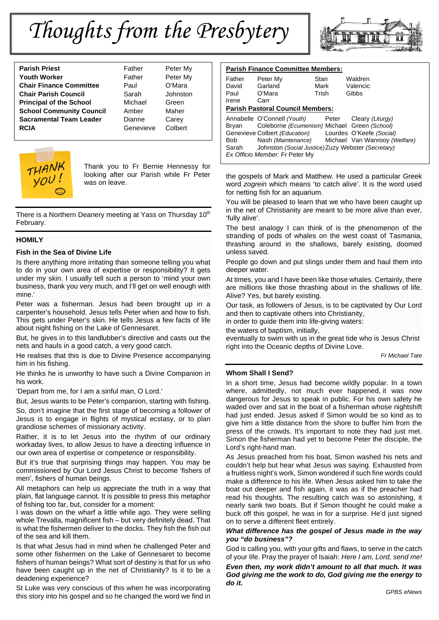# *Thoughts from the Presbytery*



| Father    | Peter N |
|-----------|---------|
| Father    | Peter N |
| Paul      | O'Mara  |
| Sarah     | Johnsto |
| Michael   | Green   |
| Amber     | Maher   |
| Dianne    | Carey   |
| Genevieve | Colbert |
|           |         |

**Father** Peter My Father **Peter My** Sarah Johnston **Principal of the School** Michael Green Dianne Carey Genevieve Colbert



Thank you to Fr Bernie Hennessy for looking after our Parish while Fr Peter was on leave.

There is a Northern Deanery meeting at Yass on Thursday 10<sup>th</sup> February.

# **HOMILY**

# **Fish in the Sea of Divine Life**

Is there anything more irritating than someone telling you what to do in your own area of expertise or responsibility? It gets under my skin. I usually tell such a person to 'mind your own business, thank you very much, and I'll get on well enough with mine.'

Peter was a fisherman. Jesus had been brought up in a carpenter's household. Jesus tells Peter when and how to fish. This gets under Peter's skin. He tells Jesus a few facts of life about night fishing on the Lake of Gennesaret.

But, he gives in to this landlubber's directive and casts out the nets and hauls in a good catch, a very good catch.

He realises that this is due to Divine Presence accompanying him in his fishing.

He thinks he is unworthy to have such a Divine Companion in his work.

'Depart from me, for I am a sinful man, O Lord.'

But, Jesus wants to be Peter's companion, starting with fishing. So, don't imagine that the first stage of becoming a follower of Jesus is to engage in flights of mystical ecstasy, or to plan grandiose schemes of missionary activity.

Rather, it is to let Jesus into the rhythm of our ordinary workaday lives, to allow Jesus to have a directing influence in our own area of expertise or competence or responsibility.

But it's true that surprising things may happen. You may be commissioned by Our Lord Jesus Christ to become 'fishers of men', fishers of human beings.

All metaphors can help us appreciate the truth in a way that plain, flat language cannot. It is possible to press this metaphor of fishing too far, but, consider for a moment:

I was down on the wharf a little while ago. They were selling whole Trevalla, magnificent fish – but very definitely dead. That is what the fishermen deliver to the docks. They fish the fish out of the sea and kill them.

Is that what Jesus had in mind when he challenged Peter and some other fishermen on the Lake of Gennesaret to become fishers of human beings? What sort of destiny is that for us who have been caught up in the net of Christianity? Is it to be a deadening experience?

St Luke was very conscious of this when he was incorporating this story into his gospel and so he changed the word we find in

| <b>Parish Finance Committee Members:</b> |                                                                                                                                                                                                                            |                       |                                                                               |  |  |  |
|------------------------------------------|----------------------------------------------------------------------------------------------------------------------------------------------------------------------------------------------------------------------------|-----------------------|-------------------------------------------------------------------------------|--|--|--|
| Father<br>David<br>Paul<br>Irene         | Peter My<br>Garland<br>O'Mara<br>Carr<br><b>Parish Pastoral Council Members:</b>                                                                                                                                           | Stan<br>Mark<br>Trish | Waldren<br>Valencic<br>Gibbs                                                  |  |  |  |
| Brvan<br>Bob<br>Sarah                    | Annabelle O'Connell (Youth)<br>Coleborne (Ecumenism) Michael Green (School)<br>Genevieve Colbert (Education)<br>Nash (Maintenance)<br>Johnston (Social Justice) Zuzy Webster (Secretary)<br>Ex Officio Member: Fr Peter My | Peter                 | Cleary (Liturgy)<br>Lourdes O'Keefe (Social)<br>Michael Van Wanrooy (Welfare) |  |  |  |

the gospels of Mark and Matthew. He used a particular Greek word *zogrein* which means 'to catch alive'. It is the word used for netting fish for an aquarium.

You will be pleased to learn that we who have been caught up in the net of Christianity are meant to be more alive than ever, 'fully alive'.

The best analogy I can think of is the phenomenon of the stranding of pods of whales on the west coast of Tasmania, thrashing around in the shallows, barely existing, doomed unless saved.

People go down and put slings under them and haul them into deeper water.

At times, you and I have been like those whales. Certainly, there are millions like those thrashing about in the shallows of life. Alive? Yes, but barely existing.

Our task, as followers of Jesus, is to be captivated by Our Lord and then to captivate others into Christianity,

in order to guide them into life-giving waters:

the waters of baptism, initially,

eventually to swim with us in the great tide who is Jesus Christ right into the Oceanic depths of Divine Love.

*Fr Michael Tate* 

# **Whom Shall I Send?**

In a short time, Jesus had become wildly popular. In a town where, admittedly, not much ever happened, it was now dangerous for Jesus to speak in public. For his own safety he waded over and sat in the boat of a fisherman whose nightshift had just ended. Jesus asked if Simon would be so kind as to give him a little distance from the shore to buffer him from the press of the crowds. It's important to note they had just met. Simon the fisherman had yet to become Peter the disciple, the Lord's right-hand man.

As Jesus preached from his boat, Simon washed his nets and couldn't help but hear what Jesus was saying. Exhausted from a fruitless night's work, Simon wondered if such fine words could make a difference to his life. When Jesus asked him to take the boat out deeper and fish again, it was as if the preacher had read his thoughts. The resulting catch was so astonishing, it nearly sank two boats. But if Simon thought he could make a buck off this gospel, he was in for a surprise. He'd just signed on to serve a different fleet entirely.

## *What difference has the gospel of Jesus made in the way you "do business"?*

God is calling you, with your gifts and flaws, to serve in the catch of your life. Pray the prayer of Isaiah: *Here I am, Lord, send me!*

*Even then, my work didn't amount to all that much. It was God giving me the work to do, God giving me the energy to do it.*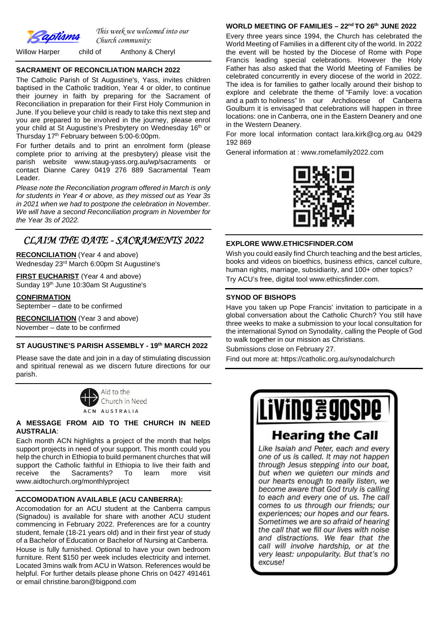

*This week we welcomed into our Church community:*

Willow Harper child of Anthony & Cheryl

# **SACRAMENT OF RECONCILIATION MARCH 2022**

The Catholic Parish of St Augustine's, Yass, invites children baptised in the Catholic tradition, Year 4 or older, to continue their journey in faith by preparing for the Sacrament of Reconciliation in preparation for their First Holy Communion in June. If you believe your child is ready to take this next step and you are prepared to be involved in the journey, please enrol your child at St Augustine's Presbytery on Wednesday 16th or Thursday 17<sup>th</sup> February between 5:00-6:00pm.

For further details and to print an enrolment form (please complete prior to arriving at the presbytery) please visit the parish website www.staug-yass.org.au/wp/sacraments or contact Dianne Carey 0419 276 889 Sacramental Team Leader.

*Please note the Reconciliation program offered in March is only for students in Year 4 or above, as they missed out as Year 3s in 2021 when we had to postpone the celebration in November. We will have a second Reconciliation program in November for the Year 3s of 2022.* 

# *CLAIM THE DATE - SACRAMENTS 2022*

**RECONCILIATION** (Year 4 and above) Wednesday 23rd March 6:00pm St Augustine's

**FIRST EUCHARIST** (Year 4 and above) Sunday 19<sup>th</sup> June 10:30am St Augustine's

**CONFIRMATION** September – date to be confirmed

**RECONCILIATION** (Year 3 and above) November – date to be confirmed

# **ST AUGUSTINE'S PARISH ASSEMBLY - 19th MARCH 2022**

Please save the date and join in a day of stimulating discussion and spiritual renewal as we discern future directions for our parish.



## **A MESSAGE FROM AID TO THE CHURCH IN NEED AUSTRALIA**:

Each month ACN highlights a project of the month that helps support projects in need of your support. This month could you help the church in Ethiopia to build permanent churches that will support the Catholic faithful in Ethiopia to live their faith and receive the Sacraments? To learn more visit www.aidtochurch.org/monthlyproject

# **ACCOMODATION AVAILABLE (ACU CANBERRA):**

Accomodation for an ACU student at the Canberra campus (Signadou) is available for share with another ACU student commencing in February 2022. Preferences are for a country student, female (18-21 years old) and in their first year of study of a Bachelor of Education or Bachelor of Nursing at Canberra. House is fully furnished. Optional to have your own bedroom furniture. Rent \$150 per week includes electricity and internet. Located 3mins walk from ACU in Watson. References would be helpful. For further details please phone Chris on 0427 491461 or email christine.baron@bigpond.com

## **WORLD MEETING OF FAMILIES – 22nd TO 26th JUNE 2022**

Every three years since 1994, the Church has celebrated the World Meeting of Families in a different city of the world. In 2022 the event will be hosted by the Diocese of Rome with Pope Francis leading special celebrations. However the Holy Father has also asked that the World Meeting of Families be celebrated concurrently in every diocese of the world in 2022. The idea is for families to gather locally around their bishop to explore and celebrate the theme of "Family love: a vocation and a path to holiness" In our Archdiocese of Canberra Goulburn it is envisaged that celebrations will happen in three locations: one in Canberra, one in the Eastern Deanery and one in the Western Deanery.

For more local information contact lara.kirk@cg.org.au 0429 192 869

General information at : www.romefamily2022.com



## **EXPLORE WWW.ETHICSFINDER.COM**

Wish you could easily find Church teaching and the best articles, books and videos on bioethics, business ethics, cancel culture, human rights, marriage, subsidiarity, and 100+ other topics? Try ACU's free, digital tool www.ethicsfinder.com.

## **SYNOD OF BISHOPS**

Have you taken up Pope Francis' invitation to participate in a global conversation about the Catholic Church? You still have three weeks to make a submission to your local consultation for the international Synod on Synodality, calling the People of God to walk together in our mission as Christians.

Submissions close on February 27.

Find out more at: https://catholic.org.au/synodalchurch

# 

# **Hearing the Call**

Like Isaiah and Peter, each and every one of us is called. It may not happen through Jesus stepping into our boat, but when we quieten our minds and our hearts enough to really listen, we become aware that God truly is calling to each and every one of us. The call comes to us through our friends; our experiences; our hopes and our fears. Sometimes we are so afraid of hearing the call that we fill our lives with noise and distractions. We fear that the call will involve hardship, or at the very least: unpopularity. But that's no excuse!